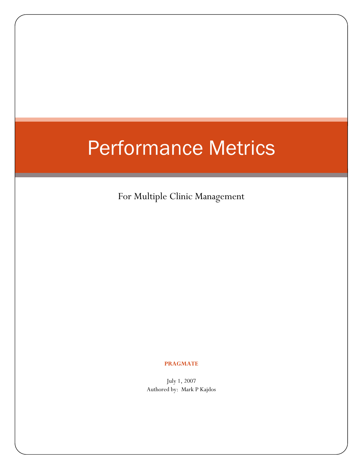# Performance Metrics

For Multiple Clinic Management

#### **PRAGMATE**

July 1, 2007 Authored by: Mark P Kajdos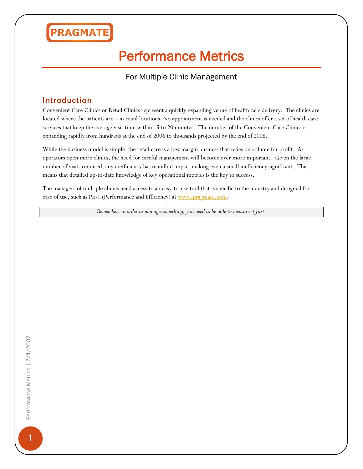

## Performance Metrics

### For Multiple Clinic Management

### Introduction

Convenient Care Clinics or Retail Clinics represent a quickly expanding venue of health care delivery. The clinics are located where the patients are – in retail locations. No appointment is needed and the clinics offer a set of health care services that keep the average visit time within 15 to 20 minutes. The number of the Convenient Care Clinics is expanding rapidly from hundreds at the end of 2006 to thousands projected by the end of 2008.

While the business model is simple, the retail care is a low margin business that relies on volume for profit. As operators open more clinics, the need for careful management will become ever more important. Given the large number of visits required, any inefficiency has manifold impact making even a small inefficiency significant. This means that detailed up-to-date knowledge of key operational metrics is the key to success.

The managers of multiple clinics need access to an easy-to-use tool that is specific to the industry and designed for ease of use, such as PE-1 (Performance and Efficiency) at [www.pragmate.com.](http://www.pragmate.com/)

*Remember: in order to manage something, you need to be able to measure it first.*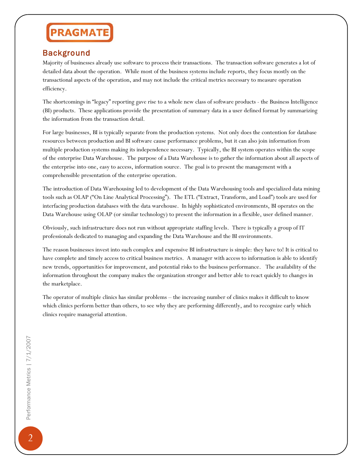### Background

Majority of businesses already use software to process their transactions. The transaction software generates a lot of detailed data about the operation. While most of the business systems include reports, they focus mostly on the transactional aspects of the operation, and may not include the critical metrics necessary to measure operation efficiency.

The shortcomings in "legacy" reporting gave rise to a whole new class of software products - the Business Intelligence (BI) products. These applications provide the presentation of summary data in a user defined format by summarizing the information from the transaction detail.

For large businesses, BI is typically separate from the production systems. Not only does the contention for database resources between production and BI software cause performance problems, but it can also join information from multiple production systems making its independence necessary. Typically, the BI system operates within the scope of the enterprise Data Warehouse. The purpose of a Data Warehouse is to gather the information about all aspects of the enterprise into one, easy to access, information source. The goal is to present the management with a comprehensible presentation of the enterprise operation.

The introduction of Data Warehousing led to development of the Data Warehousing tools and specialized data mining tools such as OLAP ("On Line Analytical Processing"). The ETL ("Extract, Transform, and Load") tools are used for interfacing production databases with the data warehouse. In highly sophisticated environments, BI operates on the Data Warehouse using OLAP (or similar technology) to present the information in a flexible, user defined manner.

Obviously, such infrastructure does not run without appropriate staffing levels. There is typically a group of IT professionals dedicated to managing and expanding the Data Warehouse and the BI environments.

The reason businesses invest into such complex and expensive BI infrastructure is simple: they have to! It is critical to have complete and timely access to critical business metrics. A manager with access to information is able to identify new trends, opportunities for improvement, and potential risks to the business performance. The availability of the information throughout the company makes the organization stronger and better able to react quickly to changes in the marketplace.

The operator of multiple clinics has similar problems – the increasing number of clinics makes it difficult to know which clinics perform better than others, to see why they are performing differently, and to recognize early which clinics require managerial attention.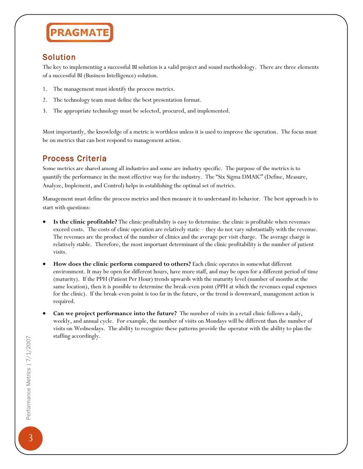### Solution

The key to implementing a successful BI solution is a valid project and sound methodology. There are three elements of a successful BI (Business Intelligence) solution.

- 1. The management must identify the process metrics.
- 2. The technology team must define the best presentation format.
- 3. The appropriate technology must be selected, procured, and implemented.

Most importantly, the knowledge of a metric is worthless unless it is used to improve the operation. The focus must be on metrics that can best respond to management action.

### Process Criteria

Some metrics are shared among all industries and some are industry specific. The purpose of the metrics is to quantify the performance in the most effective way for the industry. The "Six Sigma DMAIC" (Define, Measure, Analyze, Implement, and Control) helps in establishing the optimal set of metrics.

Management must define the process metrics and then measure it to understand its behavior. The best approach is to start with questions:

- **Is the clinic profitable?** The clinic profitability is easy to determine: the clinic is profitable when revenues exceed costs. The costs of clinic operation are relatively static – they do not vary substantially with the revenue. The revenues are the product of the number of clinics and the average per visit charge. The average charge is relatively stable. Therefore, the most important determinant of the clinic profitability is the number of patient visits.
- **How does the clinic perform compared to others?** Each clinic operates in somewhat different environment. It may be open for different hours, have more staff, and may be open for a different period of time (maturity). If the PPH (Patient Per Hour) trends upwards with the maturity level (number of months at the same location), then it is possible to determine the break-even point (PPH at which the revenues equal expenses for the clinic). If the break-even point is too far in the future, or the trend is downward, management action is required.
- **Can we project performance into the future?** The number of visits in a retail clinic follows a daily, weekly, and annual cycle. For example, the number of visits on Mondays will be different than the number of visits on Wednesdays. The ability to recognize these patterns provide the operator with the ability to plan the staffing accordingly.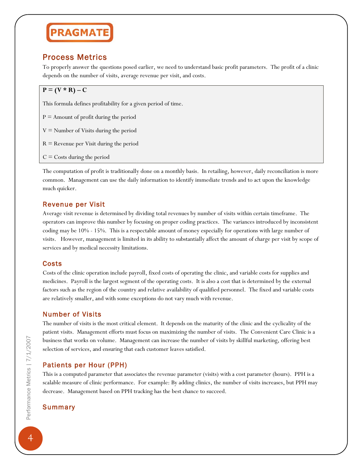### Process Metrics

To properly answer the questions posed earlier, we need to understand basic profit parameters. The profit of a clinic depends on the number of visits, average revenue per visit, and costs.

 $P = (V * R) - C$ 

This formula defines profitability for a given period of time.

 $P =$  Amount of profit during the period

 $V =$  Number of Visits during the period

 $R$  = Revenue per Visit during the period

 $C = \text{Costs}$  during the period

The computation of profit is traditionally done on a monthly basis. In retailing, however, daily reconciliation is more common. Management can use the daily information to identify immediate trends and to act upon the knowledge much quicker.

#### Revenue per Visit

Average visit revenue is determined by dividing total revenues by number of visits within certain timeframe. The operators can improve this number by focusing on proper coding practices. The variances introduced by inconsistent coding may be 10% - 15%. This is a respectable amount of money especially for operations with large number of visits. However, management is limited in its ability to substantially affect the amount of charge per visit by scope of services and by medical necessity limitations.

#### Costs

Costs of the clinic operation include payroll, fixed costs of operating the clinic, and variable costs for supplies and medicines. Payroll is the largest segment of the operating costs. It is also a cost that is determined by the external factors such as the region of the country and relative availability of qualified personnel. The fixed and variable costs are relatively smaller, and with some exceptions do not vary much with revenue.

#### Number of Visits

The number of visits is the most critical element. It depends on the maturity of the clinic and the cyclicality of the patient visits. Management efforts must focus on maximizing the number of visits. The Convenient Care Clinic is a business that works on volume. Management can increase the number of visits by skillful marketing, offering best selection of services, and ensuring that each customer leaves satisfied.

#### Patients per Hour (PPH)

This is a computed parameter that associates the revenue parameter (visits) with a cost parameter (hours). PPH is a scalable measure of clinic performance. For example: By adding clinics, the number of visits increases, but PPH may decrease. Management based on PPH tracking has the best chance to succeed.

### Summary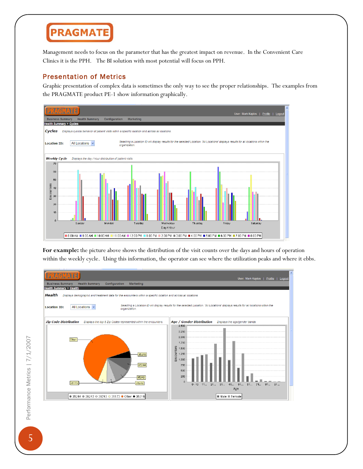Management needs to focus on the parameter that has the greatest impact on revenue. In the Convenient Care Clinics it is the PPH. The BI solution with most potential will focus on PPH.

#### Presentation of Metrics

Graphic presentation of complex data is sometimes the only way to see the proper relationships. The examples from the PRAGMATE product PE-1 show information graphically.



**For example:** the picture above shows the distribution of the visit counts over the days and hours of operation within the weekly cycle. Using this information, the operator can see where the utilization peaks and where it ebbs.



Performance Metrics | 7/1/2007 Performance Metrics | 7/1/2007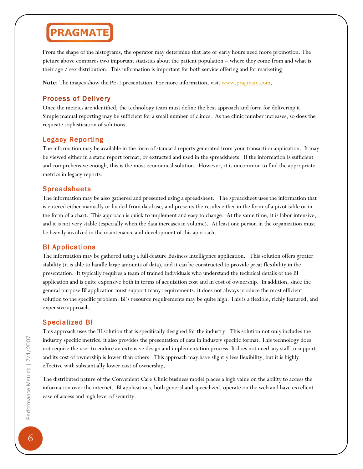From the shape of the histograms, the operator may determine that late or early hours need more promotion. The picture above compares two important statistics about the patient population – where they come from and what is their age / sex distribution. This information is important for both service offering and for marketing.

Note: The images show the PE-1 presentation. For more information, visit [www.pragmate.com.](http://www.pragmate.com/)

#### Process of Delivery

Once the metrics are identified, the technology team must define the best approach and form for delivering it. Simple manual reporting may be sufficient for a small number of clinics. As the clinic number increases, so does the requisite sophistication of solutions.

#### Legacy Reporting

The information may be available in the form of standard reports generated from your transaction application. It may be viewed either in a static report format, or extracted and used in the spreadsheets. If the information is sufficient and comprehensive enough, this is the most economical solution. However, it is uncommon to find the appropriate metrics in legacy reports.

#### Spreadsheets

The information may be also gathered and presented using a spreadsheet. The spreadsheet uses the information that is entered either manually or loaded from database, and presents the results either in the form of a pivot table or in the form of a chart. This approach is quick to implement and easy to change. At the same time, it is labor intensive, and it is not very stable (especially when the data increases in volume). At least one person in the organization must be heavily involved in the maintenance and development of this approach.

#### BI Applications

The information may be gathered using a full-feature Business Intelligence application. This solution offers greater stability (it is able to handle large amounts of data), and it can be constructed to provide great flexibility in the presentation. It typically requires a team of trained individuals who understand the technical details of the BI application and is quite expensive both in terms of acquisition cost and in cost of ownership. In addition, since the general purpose BI application must support many requirements, it does not always produce the most efficient solution to the specific problem. BI's resource requirements may be quite high. This is a flexible, richly featured, and expensive approach.

### Specialized BI

This approach uses the BI solution that is specifically designed for the industry. This solution not only includes the industry specific metrics, it also provides the presentation of data in industry specific format. This technology does not require the user to endure an extensive design and implementation process. It does not need any staff to support, and its cost of ownership is lower than others. This approach may have slightly less flexibility, but it is highly effective with substantially lower cost of ownership.

The distributed nature of the Convenient Care Clinic business model places a high value on the ability to access the information over the internet. BI applications, both general and specialized, operate on the web and have excellent ease of access and high level of security.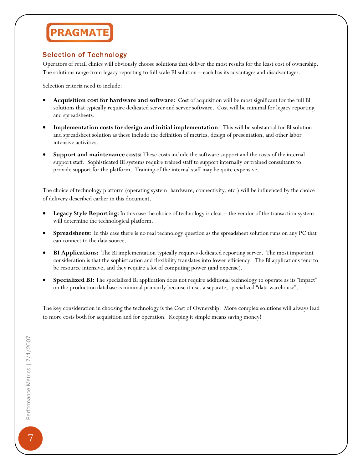#### Selection of Technology

Operators of retail clinics will obviously choose solutions that deliver the most results for the least cost of ownership. The solutions range from legacy reporting to full scale BI solution – each has its advantages and disadvantages.

Selection criteria need to include:

- **Acquisition cost for hardware and software:** Cost of acquisition will be most significant for the full BI solutions that typically require dedicated server and server software. Cost will be minimal for legacy reporting and spreadsheets.
- **Implementation costs for design and initial implementation**: This will be substantial for BI solution and spreadsheet solution as these include the definition of metrics, design of presentation, and other labor intensive activities.
- **Support and maintenance costs:** These costs include the software support and the costs of the internal support staff. Sophisticated BI systems require trained staff to support internally or trained consultants to provide support for the platform. Training of the internal staff may be quite expensive.

The choice of technology platform (operating system, hardware, connectivity, etc.) will be influenced by the choice of delivery described earlier in this document.

- **Legacy Style Reporting:** In this case the choice of technology is clear the vendor of the transaction system will determine the technological platform.
- **Spreadsheets:** In this case there is no real technology question as the spreadsheet solution runs on any PC that can connect to the data source.
- **BI Applications:** The BI implementation typically requires dedicated reporting server. The most important consideration is that the sophistication and flexibility translates into lower efficiency. The BI applications tend to be resource intensive, and they require a lot of computing power (and expense).
- **Specialized BI:** The specialized BI application does not require additional technology to operate as its "impact" on the production database is minimal primarily because it uses a separate, specialized "data warehouse".

The key consideration in choosing the technology is the Cost of Ownership. More complex solutions will always lead to more costs both for acquisition and for operation. Keeping it simple means saving money!